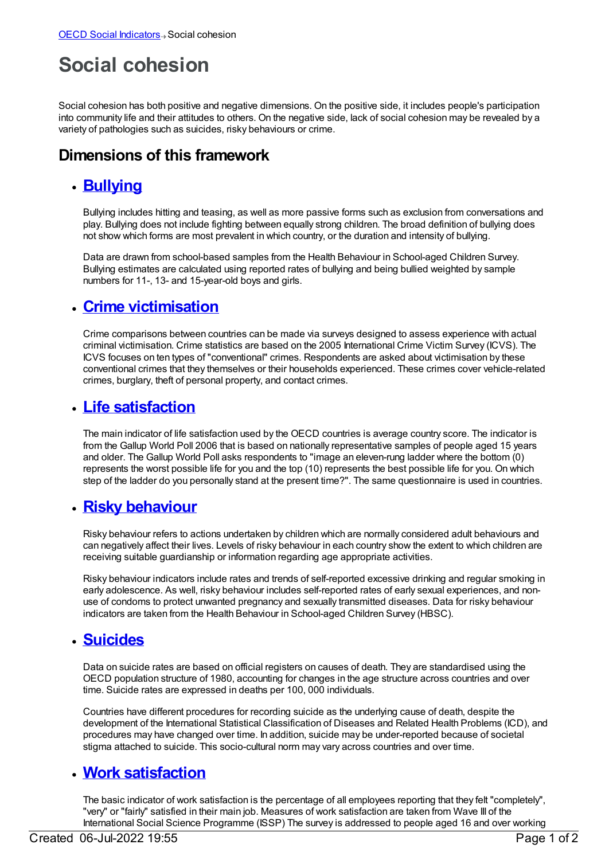# **Social cohesion**

Social cohesion has both positive and negative dimensions. On the positive side, it includes people's participation into community life and their attitudes to others. On the negative side, lack of social cohesion may be revealed by a variety of pathologies such as suicides, risky behaviours or crime.

## **Dimensions of this framework**

#### **[Bullying](https://meteor.aihw.gov.au/content/392666)**

Bullying includes hitting and teasing, as well as more passive forms such as exclusion from conversations and play. Bullying does not include fighting between equally strong children. The broad definition of bullying does not show which forms are most prevalent in which country, or the duration and intensity of bullying.

Data are drawn from school-based samples from the Health Behaviour in School-aged Children Survey. Bullying estimates are calculated using reported rates of bullying and being bullied weighted by sample numbers for 11-, 13- and 15-year-old boys and girls.

#### **Crime [victimisation](https://meteor.aihw.gov.au/content/392665)**

Crime comparisons between countries can be made via surveys designed to assess experience with actual criminal victimisation. Crime statistics are based on the 2005 International Crime Victim Survey (ICVS). The ICVS focuses on ten types of "conventional" crimes. Respondents are asked about victimisation by these conventional crimes that they themselves or their households experienced. These crimes cover vehicle-related crimes, burglary, theft of personal property, and contact crimes.

### **Life [satisfaction](https://meteor.aihw.gov.au/content/392664)**

The main indicator of life satisfaction used by the OECD countries is average country score. The indicator is from the Gallup World Poll 2006 that is based on nationally representative samples of people aged 15 years and older. The Gallup World Poll asks respondents to "image an eleven-rung ladder where the bottom (0) represents the worst possible life for you and the top (10) represents the best possible life for you. On which step of the ladder do you personally stand at the present time?". The same questionnaire is used in countries.

### **Risky [behaviour](https://meteor.aihw.gov.au/content/392663)**

Risky behaviour refers to actions undertaken by children which are normally considered adult behaviours and can negatively affect their lives. Levels of risky behaviour in each country show the extent to which children are receiving suitable guardianship or information regarding age appropriate activities.

Risky behaviour indicators include rates and trends of self-reported excessive drinking and regular smoking in early adolescence. As well, risky behaviour includes self-reported rates of early sexual experiences, and nonuse of condoms to protect unwanted pregnancy and sexually transmitted diseases. Data for risky behaviour indicators are taken from the Health Behaviour in School-aged Children Survey (HBSC).

### **[Suicides](https://meteor.aihw.gov.au/content/392662)**

Data on suicide rates are based on official registers on causes of death. They are standardised using the OECD population structure of 1980, accounting for changes in the age structure across countries and over time. Suicide rates are expressed in deaths per 100, 000 individuals.

Countries have different procedures for recording suicide as the underlying cause of death, despite the development of the International Statistical Classification of Diseases and Related Health Problems (ICD), and procedures may have changed over time. In addition, suicide may be under-reported because of societal stigma attached to suicide. This socio-cultural norm may vary across countries and over time.

### **Work [satisfaction](https://meteor.aihw.gov.au/content/392661)**

The basic indicator of work satisfaction is the percentage of all employees reporting that they felt "completely", "very" or "fairly" satisfied in their main job. Measures of work satisfaction are taken from Wave III of the International Social Science Programme (ISSP) The survey is addressed to people aged 16 and over working